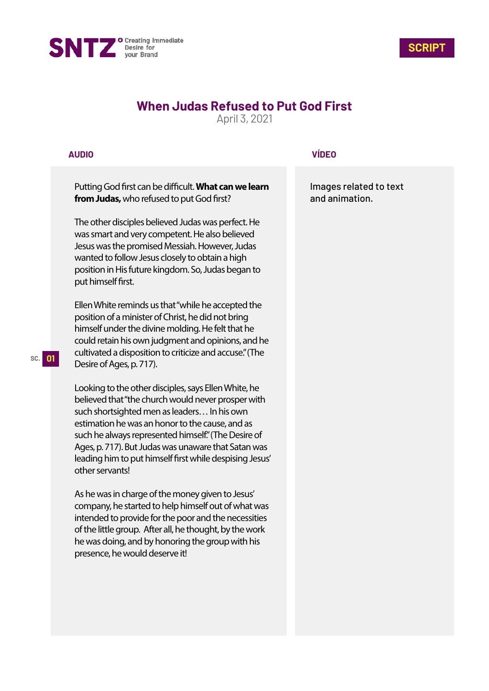



# **When Judas Refused to Put God First**

April 3, 2021

## **AUDIO**

Putting God first can be difficult. What can we learn **from Judas,** who refused to put God first?

The other disciples believed Judas was perfect. He was smart and very competent. He also believed Jesus was the promised Messiah. However, Judas wanted to follow Jesus closely to obtain a high position in His future kingdom. So, Judas began to put himself first.

Ellen White reminds us that "while he accepted the position of a minister of Christ, he did not bring himself under the divine molding. He felt that he could retain his own judgment and opinions, and he cultivated a disposition to criticize and accuse." (The Desire of Ages, p. 717).

Looking to the other disciples, says Ellen White, he believed that "the church would never prosper with such shortsighted men as leaders… In his own estimation he was an honor to the cause, and as such he always represented himself." (The Desire of Ages, p. 717). But Judas was unaware that Satan was leading him to put himself first while despising Jesus' other servants!

As he was in charge of the money given to Jesus' company, he started to help himself out of what was intended to provide for the poor and the necessities of the little group. After all, he thought, by the work he was doing, and by honoring the group with his presence, he would deserve it!

## **VÍDEO**

Images related to text and animation.